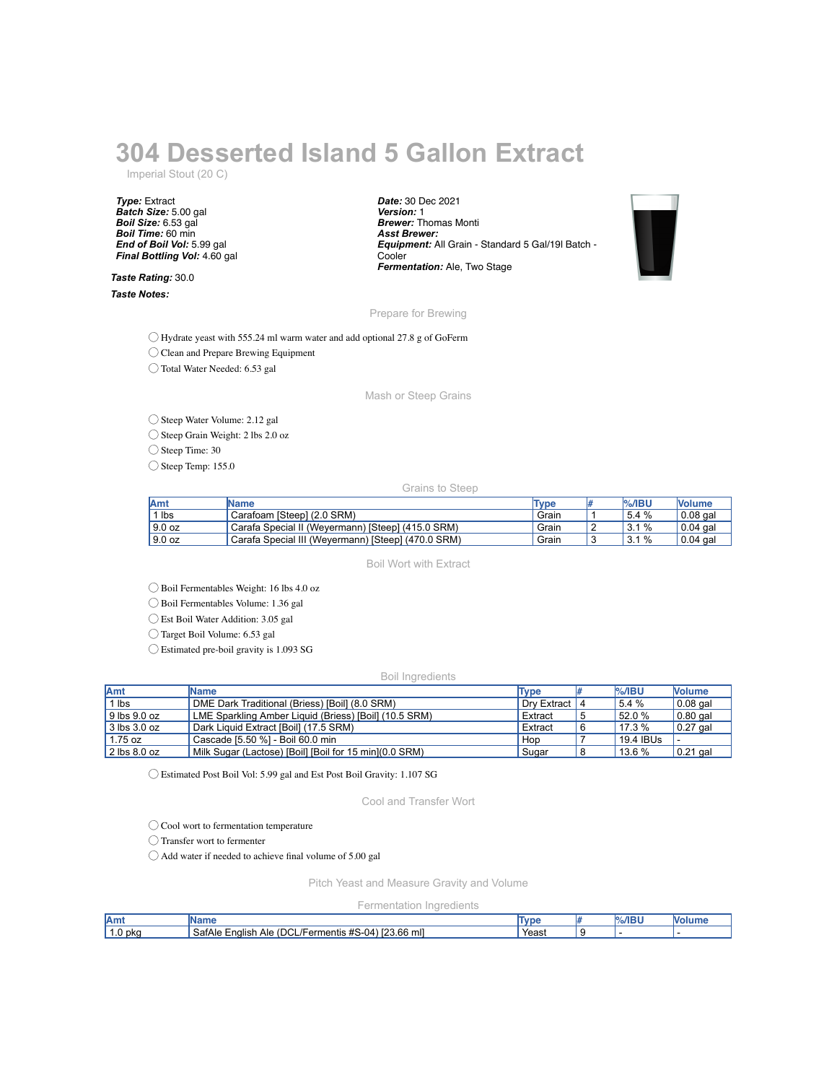# **304 Desserted Island 5 Gallon Extract**

Imperial Stout (20 C)

*Type:* Extract *Batch Size:* 5.00 gal *Boil Size:* 6.53 gal *Boil Time:* 60 min *End of Boil Vol:* 5.99 gal *Final Bottling Vol:* 4.60 gal

*Taste Rating:* 30.0 *Taste Notes:*

*Date:* 30 Dec 2021 *Version:* 1 *Brewer:* Thomas Monti *Asst Brewer: Equipment:* All Grain - Standard 5 Gal/19l Batch - Cooler *Fermentation:* Ale, Two Stage



#### Prepare for Brewing

◯ Hydrate yeast with 555.24 ml warm water and add optional 27.8 g of GoFerm

◯ Clean and Prepare Brewing Equipment

◯ Total Water Needed: 6.53 gal

Mash or Steep Grains

### ◯ Steep Water Volume: 2.12 gal

◯ Steep Grain Weight: 2 lbs 2.0 oz

◯ Steep Time: 30

◯ Steep Temp: 155.0

Grains to Steep

| <b>IAmt</b>       | <b>IName</b>                                       | Type  |   | $%$ /IBU | <b>Nolume</b> |
|-------------------|----------------------------------------------------|-------|---|----------|---------------|
| lbs               | Carafoam [Steep] (2.0 SRM)                         | Grain |   | 5.4%     | $0.08$ gal    |
| 9.0 <sub>oz</sub> | Carafa Special II (Weyermann) [Steep] (415.0 SRM)  | Grain | - | $3.1\%$  | $0.04$ gal    |
| 9.0 <sub>oz</sub> | Carafa Special III (Weyermann) [Steep] (470.0 SRM) | Grain |   | 3.1%     | $0.04$ gal    |

Boil Wort with Extract

◯ Boil Fermentables Weight: 16 lbs 4.0 oz

◯ Boil Fermentables Volume: 1.36 gal

◯ Est Boil Water Addition: 3.05 gal

◯ Target Boil Volume: 6.53 gal

◯ Estimated pre-boil gravity is 1.093 SG

#### Boil Ingredients

| Amt                  | <b>Name</b>                                            | Tvpe            | $\frac{9}{6}$ /IBU | <b>Nolume</b>    |
|----------------------|--------------------------------------------------------|-----------------|--------------------|------------------|
| 1 lbs                | DME Dark Traditional (Briess) [Boil] (8.0 SRM)         | Drv Extract   4 | 15.4%              | $\vert$ 0.08 gal |
| $\vert$ 9 lbs 9.0 oz | LME Sparkling Amber Liquid (Briess) [Boil] (10.5 SRM)  | Extract         | 52.0 %             | $\vert$ 0.80 gal |
| $\vert$ 3 lbs 3.0 oz | Dark Liquid Extract [Boil] (17.5 SRM)                  | Extract         | 17.3 %             | $0.27$ gal       |
| 1.75 oz              | Cascade [5.50 %] - Boil 60.0 min                       | Hop             | $19.4$ IBUs        |                  |
| $\vert$ 2 lbs 8.0 oz | Milk Sugar (Lactose) [Boil] [Boil for 15 min](0.0 SRM) | Sugar           | $13.6\%$           | $0.21$ gal       |

◯ Estimated Post Boil Vol: 5.99 gal and Est Post Boil Gravity: 1.107 SG

Cool and Transfer Wort

◯ Cool wort to fermentation temperature

◯ Transfer wort to fermenter

◯ Add water if needed to achieve final volume of 5.00 gal

Pitch Yeast and Measure Gravity and Volume

Fermentation Ingredients

| 'Ami       | .me                                                                                                                          | l v pe |  | w |
|------------|------------------------------------------------------------------------------------------------------------------------------|--------|--|---|
| , pkc<br>. | <br><br>:3.66<br>$\sim$<br><b>DCL.</b><br>mľ<br>≞nalısh<br>Ale<br>entis<br>SatAle<br>' М<br>- - -<br>$\cdot$ $\cdot$ $\cdot$ | Yeast  |  |   |